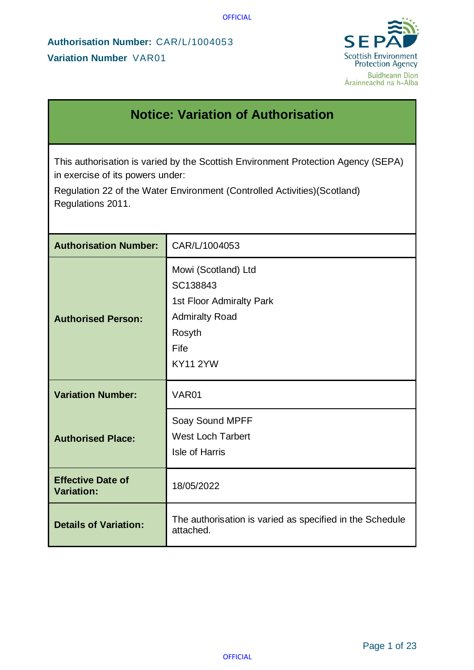

# **Notice: Variation of Authorisation**

This authorisation is varied by the Scottish Environment Protection Agency (SEPA) in exercise of its powers under:

Regulation 22 of the Water Environment (Controlled Activities)(Scotland) Regulations 2011.

| <b>Authorisation Number:</b>                  | CAR/L/1004053                                                                                                             |  |
|-----------------------------------------------|---------------------------------------------------------------------------------------------------------------------------|--|
| <b>Authorised Person:</b>                     | Mowi (Scotland) Ltd<br>SC138843<br>1st Floor Admiralty Park<br><b>Admiralty Road</b><br>Rosyth<br>Fife<br><b>KY11 2YW</b> |  |
| <b>Variation Number:</b>                      | VAR01                                                                                                                     |  |
| <b>Authorised Place:</b>                      | Soay Sound MPFF<br><b>West Loch Tarbert</b><br>Isle of Harris                                                             |  |
| <b>Effective Date of</b><br><b>Variation:</b> | 18/05/2022                                                                                                                |  |
| <b>Details of Variation:</b>                  | The authorisation is varied as specified in the Schedule<br>attached.                                                     |  |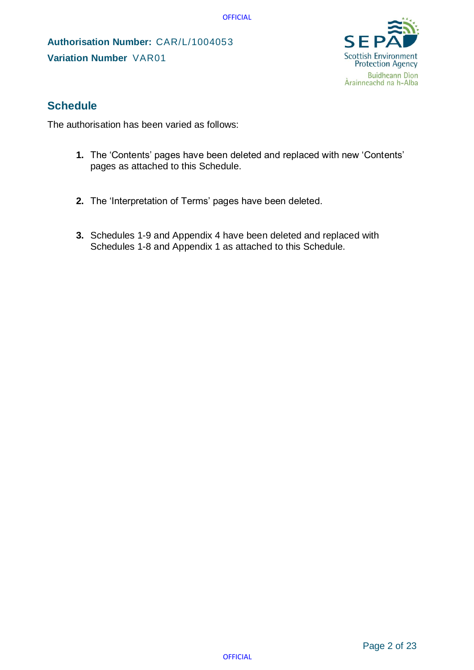**Authorisation Number:** CAR/L/1004053 **Variation Number** VAR01



## **Schedule**

The authorisation has been varied as follows:

- **1.** The 'Contents' pages have been deleted and replaced with new 'Contents' pages as attached to this Schedule.
- **2.** The 'Interpretation of Terms' pages have been deleted.
- **3.** Schedules 1-9 and Appendix 4 have been deleted and replaced with Schedules 1-8 and Appendix 1 as attached to this Schedule.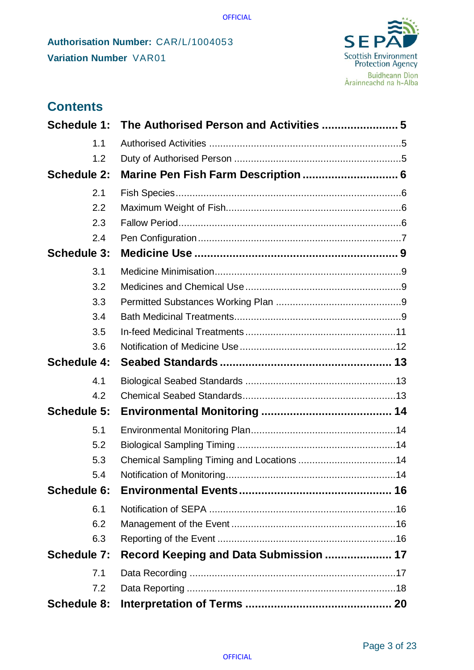

| <b>Contents</b>    |                                        |  |
|--------------------|----------------------------------------|--|
| <b>Schedule 1:</b> |                                        |  |
| 1.1                |                                        |  |
| 1.2                |                                        |  |
| <b>Schedule 2:</b> |                                        |  |
| 2.1                |                                        |  |
| 2.2                |                                        |  |
| 2.3                |                                        |  |
| 2.4                |                                        |  |
| <b>Schedule 3:</b> |                                        |  |
| 3.1                |                                        |  |
| 3.2                |                                        |  |
| 3.3                |                                        |  |
| 3.4                |                                        |  |
| 3.5                |                                        |  |
| 3.6                |                                        |  |
| <b>Schedule 4:</b> |                                        |  |
| 4.1                |                                        |  |
| 4.2                |                                        |  |
| <b>Schedule 5:</b> |                                        |  |
| 5.1                |                                        |  |
| 5.2                |                                        |  |
| 5.3                |                                        |  |
| 5.4                |                                        |  |
| Schedule 6:        |                                        |  |
| 6.1                |                                        |  |
| 6.2                |                                        |  |
| 6.3                |                                        |  |
| <b>Schedule 7:</b> | Record Keeping and Data Submission  17 |  |
| 7.1                |                                        |  |
| 7.2                |                                        |  |
| <b>Schedule 8:</b> |                                        |  |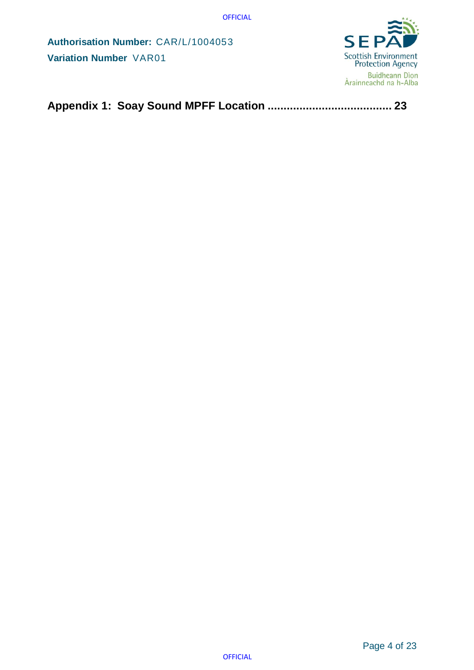**Authorisation Number:** CAR/L/1004053 **Variation Number** VAR01



**[Appendix 1: Soay Sound MPFF Location](#page-22-0) ....................................... 23**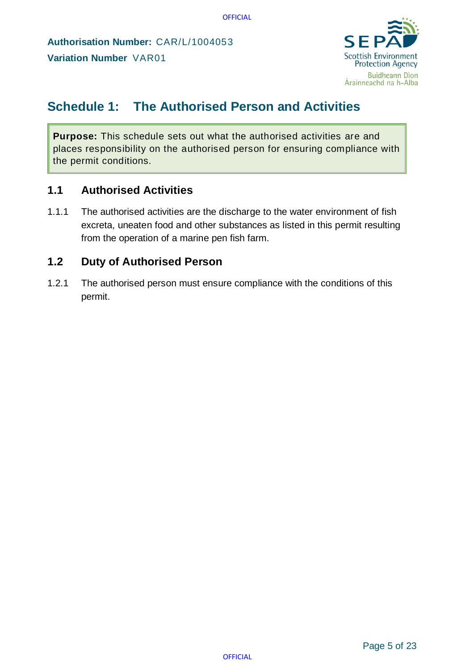

# <span id="page-4-0"></span>**Schedule 1: The Authorised Person and Activities**

**Purpose:** This schedule sets out what the authorised activities are and places responsibility on the authorised person for ensuring compliance with the permit conditions.

## <span id="page-4-1"></span>**1.1 Authorised Activities**

1.1.1 The authorised activities are the discharge to the water environment of fish excreta, uneaten food and other substances as listed in this permit resulting from the operation of a marine pen fish farm.

## <span id="page-4-2"></span>**1.2 Duty of Authorised Person**

1.2.1 The authorised person must ensure compliance with the conditions of this permit.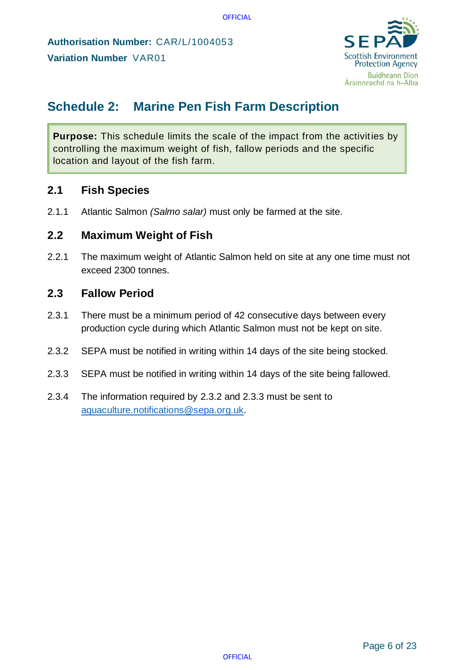

# <span id="page-5-0"></span>**Schedule 2: Marine Pen Fish Farm Description**

**Purpose:** This schedule limits the scale of the impact from the activities by controlling the maximum weight of fish, fallow periods and the specific location and layout of the fish farm.

### <span id="page-5-1"></span>**2.1 Fish Species**

2.1.1 Atlantic Salmon *(Salmo salar)* must only be farmed at the site.

### <span id="page-5-2"></span>**2.2 Maximum Weight of Fish**

2.2.1 The maximum weight of Atlantic Salmon held on site at any one time must not exceed 2300 tonnes.

### <span id="page-5-3"></span>**2.3 Fallow Period**

- 2.3.1 There must be a minimum period of 42 consecutive days between every production cycle during which Atlantic Salmon must not be kept on site.
- 2.3.2 SEPA must be notified in writing within 14 days of the site being stocked.
- 2.3.3 SEPA must be notified in writing within 14 days of the site being fallowed.
- 2.3.4 The information required by 2.3.2 and 2.3.3 must be sent to [aquaculture.notifications@sepa.org.uk.](mailto:aquaculture.notifications@sepa.org.uk)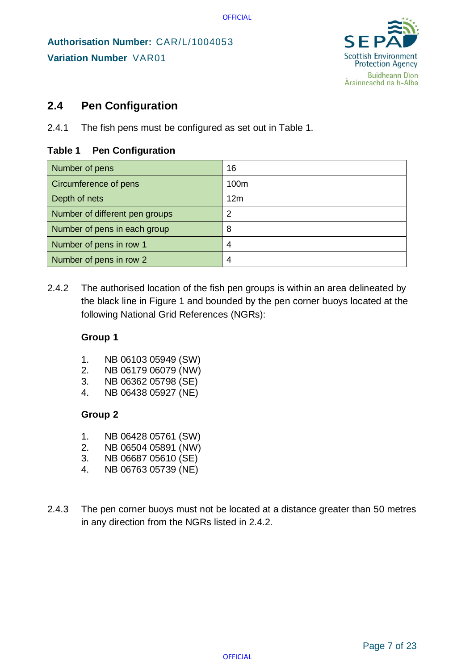

## <span id="page-6-0"></span>**2.4 Pen Configuration**

2.4.1 The fish pens must be configured as set out in Table 1.

#### **Table 1 Pen Configuration**

| Number of pens                 | 16              |
|--------------------------------|-----------------|
| Circumference of pens          | 100m            |
| Depth of nets                  | 12 <sub>m</sub> |
| Number of different pen groups | 2               |
| Number of pens in each group   | 8               |
| Number of pens in row 1        | 4               |
| Number of pens in row 2        | 4               |

2.4.2 The authorised location of the fish pen groups is within an area delineated by the black line in Figure 1 and bounded by the pen corner buoys located at the following National Grid References (NGRs):

#### **Group 1**

- 1. NB 06103 05949 (SW)
- 2. NB 06179 06079 (NW)
- 3. NB 06362 05798 (SE)
- 4. NB 06438 05927 (NE)

#### **Group 2**

- 1. NB 06428 05761 (SW)
- 2. NB 06504 05891 (NW)
- 3. NB 06687 05610 (SE)
- 4. NB 06763 05739 (NE)
- 2.4.3 The pen corner buoys must not be located at a distance greater than 50 metres in any direction from the NGRs listed in 2.4.2.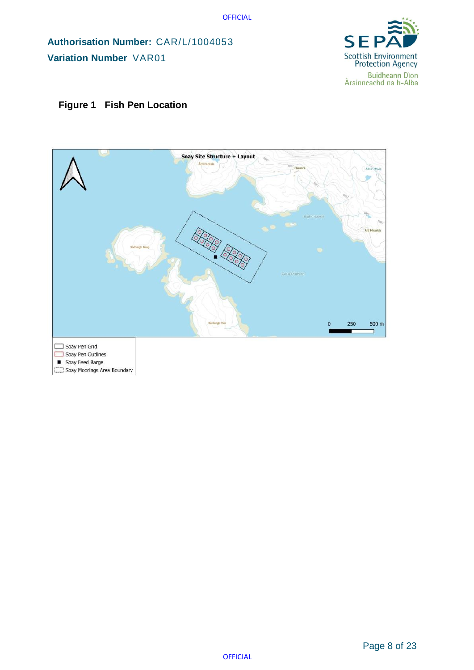**Authorisation Number:** CAR/L/1004053 **Variation Number** VAR01



#### **Figure 1 Fish Pen Location**

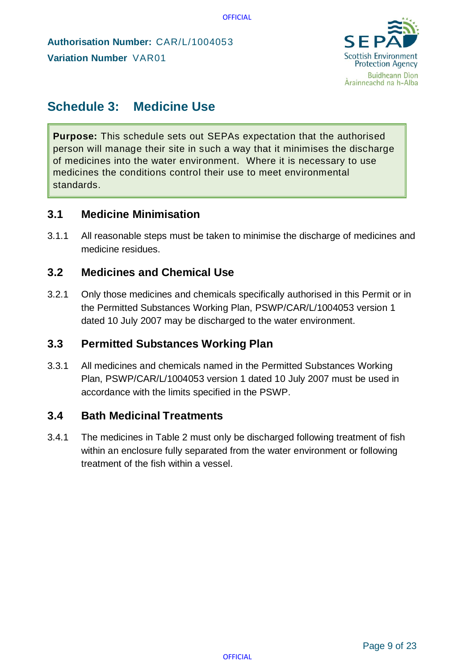

# <span id="page-8-0"></span>**Schedule 3: Medicine Use**

**Purpose:** This schedule sets out SEPAs expectation that the authorised person will manage their site in such a way that it minimises the discharge of medicines into the water environment. Where it is necessary to use medicines the conditions control their use to meet environmental standards.

### <span id="page-8-1"></span>**3.1 Medicine Minimisation**

3.1.1 All reasonable steps must be taken to minimise the discharge of medicines and medicine residues.

### <span id="page-8-2"></span>**3.2 Medicines and Chemical Use**

3.2.1 Only those medicines and chemicals specifically authorised in this Permit or in the Permitted Substances Working Plan, PSWP/CAR/L/1004053 version 1 dated 10 July 2007 may be discharged to the water environment.

### <span id="page-8-3"></span>**3.3 Permitted Substances Working Plan**

3.3.1 All medicines and chemicals named in the Permitted Substances Working Plan, PSWP/CAR/L/1004053 version 1 dated 10 July 2007 must be used in accordance with the limits specified in the PSWP.

### <span id="page-8-4"></span>**3.4 Bath Medicinal Treatments**

3.4.1 The medicines in Table 2 must only be discharged following treatment of fish within an enclosure fully separated from the water environment or following treatment of the fish within a vessel.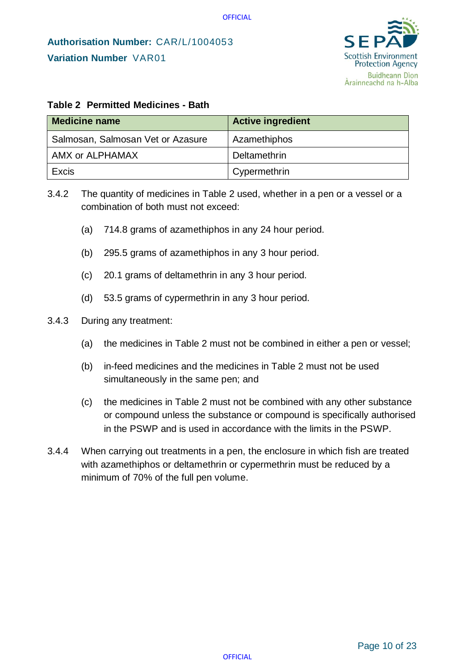

#### **Table 2 Permitted Medicines - Bath**

| <b>Medicine name</b>              | <b>Active ingredient</b> |
|-----------------------------------|--------------------------|
| Salmosan, Salmosan Vet or Azasure | Azamethiphos             |
| AMX or ALPHAMAX                   | Deltamethrin             |
| Excis                             | Cypermethrin             |

- 3.4.2 The quantity of medicines in Table 2 used, whether in a pen or a vessel or a combination of both must not exceed:
	- (a) 714.8 grams of azamethiphos in any 24 hour period.
	- (b) 295.5 grams of azamethiphos in any 3 hour period.
	- (c) 20.1 grams of deltamethrin in any 3 hour period.
	- (d) 53.5 grams of cypermethrin in any 3 hour period.

#### 3.4.3 During any treatment:

- (a) the medicines in Table 2 must not be combined in either a pen or vessel;
- (b) in-feed medicines and the medicines in Table 2 must not be used simultaneously in the same pen; and
- (c) the medicines in Table 2 must not be combined with any other substance or compound unless the substance or compound is specifically authorised in the PSWP and is used in accordance with the limits in the PSWP.
- 3.4.4 When carrying out treatments in a pen, the enclosure in which fish are treated with azamethiphos or deltamethrin or cypermethrin must be reduced by a minimum of 70% of the full pen volume.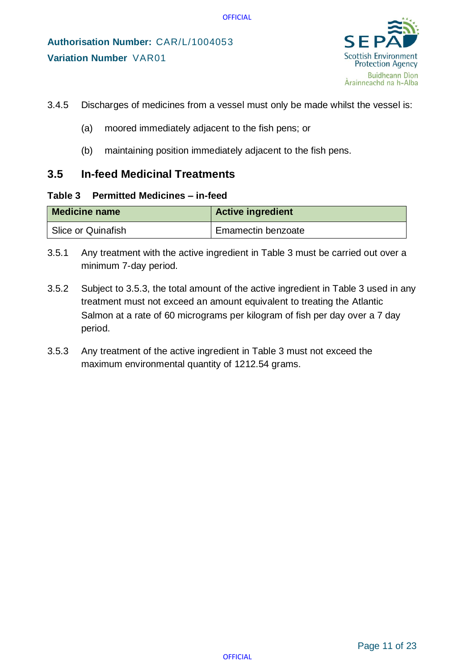

- 3.4.5 Discharges of medicines from a vessel must only be made whilst the vessel is:
	- (a) moored immediately adjacent to the fish pens; or
	- (b) maintaining position immediately adjacent to the fish pens.

### <span id="page-10-0"></span>**3.5 In-feed Medicinal Treatments**

#### **Table 3 Permitted Medicines – in-feed**

| <b>Medicine name</b> | <b>Active ingredient</b> |
|----------------------|--------------------------|
| Slice or Quinafish   | Emamectin benzoate       |

- 3.5.1 Any treatment with the active ingredient in Table 3 must be carried out over a minimum 7-day period.
- 3.5.2 Subject to 3.5.3, the total amount of the active ingredient in Table 3 used in any treatment must not exceed an amount equivalent to treating the Atlantic Salmon at a rate of 60 micrograms per kilogram of fish per day over a 7 day period.
- 3.5.3 Any treatment of the active ingredient in Table 3 must not exceed the maximum environmental quantity of 1212.54 grams.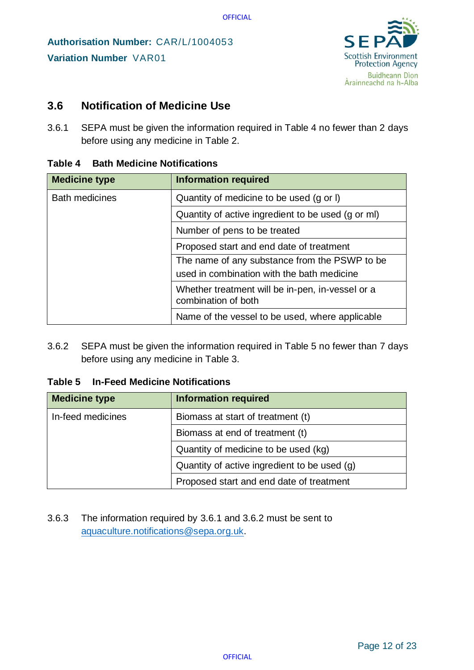

## <span id="page-11-0"></span>**3.6 Notification of Medicine Use**

3.6.1 SEPA must be given the information required in Table 4 no fewer than 2 days before using any medicine in Table 2.

| <b>Medicine type</b>  | <b>Information required</b>                                             |
|-----------------------|-------------------------------------------------------------------------|
| <b>Bath medicines</b> | Quantity of medicine to be used (g or I)                                |
|                       | Quantity of active ingredient to be used (g or ml)                      |
|                       | Number of pens to be treated                                            |
|                       | Proposed start and end date of treatment                                |
|                       | The name of any substance from the PSWP to be                           |
|                       | used in combination with the bath medicine                              |
|                       | Whether treatment will be in-pen, in-vessel or a<br>combination of both |
|                       | Name of the vessel to be used, where applicable                         |

#### **Table 4 Bath Medicine Notifications**

3.6.2 SEPA must be given the information required in Table 5 no fewer than 7 days before using any medicine in Table 3.

#### **Table 5 In-Feed Medicine Notifications**

| <b>Medicine type</b> | <b>Information required</b>                  |
|----------------------|----------------------------------------------|
| In-feed medicines    | Biomass at start of treatment (t)            |
|                      | Biomass at end of treatment (t)              |
|                      | Quantity of medicine to be used (kg)         |
|                      | Quantity of active ingredient to be used (g) |
|                      | Proposed start and end date of treatment     |

3.6.3 The information required by 3.6.1 and 3.6.2 must be sent to [aquaculture.notifications@sepa.org.uk.](mailto:aquaculture.notifications@sepa.org.uk)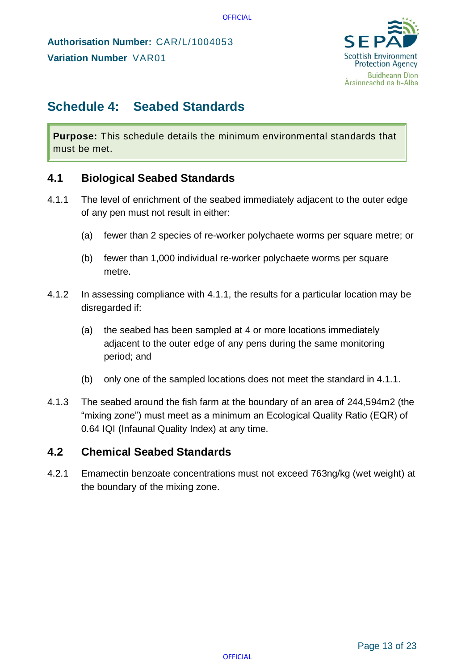

# <span id="page-12-0"></span>**Schedule 4: Seabed Standards**

**Purpose:** This schedule details the minimum environmental standards that must be met.

## <span id="page-12-1"></span>**4.1 Biological Seabed Standards**

- 4.1.1 The level of enrichment of the seabed immediately adjacent to the outer edge of any pen must not result in either:
	- (a) fewer than 2 species of re-worker polychaete worms per square metre; or
	- (b) fewer than 1,000 individual re-worker polychaete worms per square metre.
- 4.1.2 In assessing compliance with 4.1.1, the results for a particular location may be disregarded if:
	- (a) the seabed has been sampled at 4 or more locations immediately adjacent to the outer edge of any pens during the same monitoring period; and
	- (b) only one of the sampled locations does not meet the standard in 4.1.1.
- 4.1.3 The seabed around the fish farm at the boundary of an area of 244,594m2 (the "mixing zone") must meet as a minimum an Ecological Quality Ratio (EQR) of 0.64 IQI (Infaunal Quality Index) at any time.

## <span id="page-12-2"></span>**4.2 Chemical Seabed Standards**

4.2.1 Emamectin benzoate concentrations must not exceed 763ng/kg (wet weight) at the boundary of the mixing zone.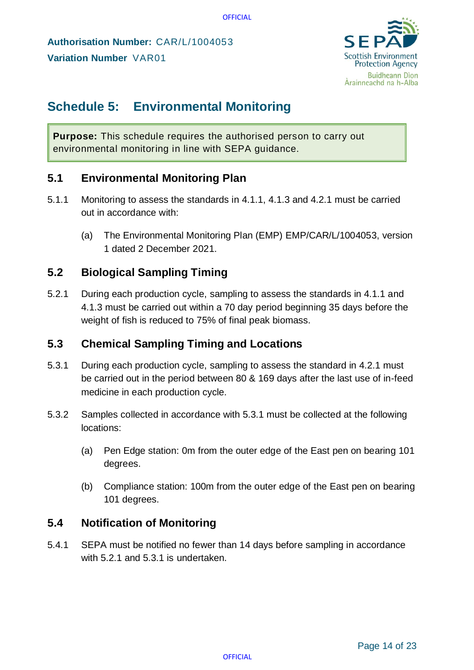**Authorisation Number:** CAR/L/1004053 **Variation Number** VAR01



# <span id="page-13-0"></span>**Schedule 5: Environmental Monitoring**

**Purpose:** This schedule requires the authorised person to carry out environmental monitoring in line with SEPA guidance.

# <span id="page-13-1"></span>**5.1 Environmental Monitoring Plan**

- 5.1.1 Monitoring to assess the standards in 4.1.1, 4.1.3 and 4.2.1 must be carried out in accordance with:
	- (a) The Environmental Monitoring Plan (EMP) EMP/CAR/L/1004053, version 1 dated 2 December 2021.

## <span id="page-13-2"></span>**5.2 Biological Sampling Timing**

5.2.1 During each production cycle, sampling to assess the standards in 4.1.1 and 4.1.3 must be carried out within a 70 day period beginning 35 days before the weight of fish is reduced to 75% of final peak biomass.

## <span id="page-13-3"></span>**5.3 Chemical Sampling Timing and Locations**

- 5.3.1 During each production cycle, sampling to assess the standard in 4.2.1 must be carried out in the period between 80 & 169 days after the last use of in-feed medicine in each production cycle.
- 5.3.2 Samples collected in accordance with 5.3.1 must be collected at the following locations:
	- (a) Pen Edge station: 0m from the outer edge of the East pen on bearing 101 degrees.
	- (b) Compliance station: 100m from the outer edge of the East pen on bearing 101 degrees.

# <span id="page-13-4"></span>**5.4 Notification of Monitoring**

5.4.1 SEPA must be notified no fewer than 14 days before sampling in accordance with 5.2.1 and 5.3.1 is undertaken.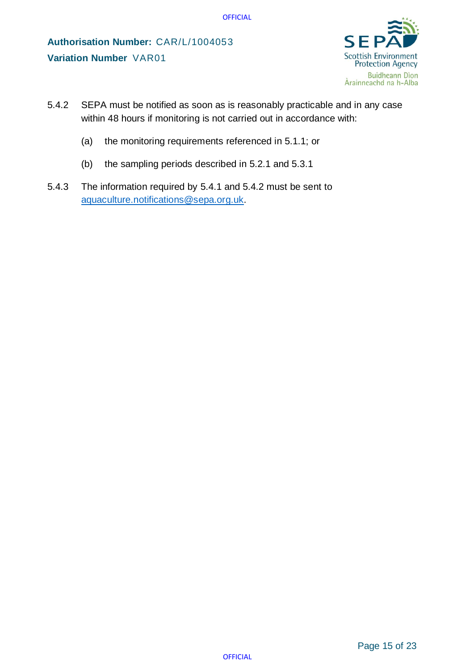

- 5.4.2 SEPA must be notified as soon as is reasonably practicable and in any case within 48 hours if monitoring is not carried out in accordance with:
	- (a) the monitoring requirements referenced in 5.1.1; or
	- (b) the sampling periods described in 5.2.1 and 5.3.1
- 5.4.3 The information required by 5.4.1 and 5.4.2 must be sent to [aquaculture.notifications@sepa.org.uk.](mailto:aquaculture.notifications@sepa.org.uk)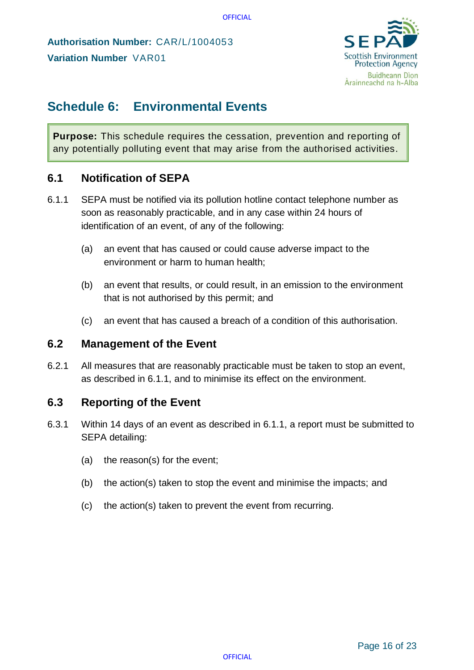**Authorisation Number:** CAR/L/1004053 **Variation Number** VAR01



# <span id="page-15-0"></span>**Schedule 6: Environmental Events**

**Purpose:** This schedule requires the cessation, prevention and reporting of any potentially polluting event that may arise from the authorised activities.

## <span id="page-15-1"></span>**6.1 Notification of SEPA**

- <span id="page-15-4"></span>6.1.1 SEPA must be notified via its pollution hotline contact telephone number as soon as reasonably practicable, and in any case within 24 hours of identification of an event, of any of the following:
	- (a) an event that has caused or could cause adverse impact to the environment or harm to human health;
	- (b) an event that results, or could result, in an emission to the environment that is not authorised by this permit; and
	- (c) an event that has caused a breach of a condition of this authorisation.

### <span id="page-15-2"></span>**6.2 Management of the Event**

6.2.1 All measures that are reasonably practicable must be taken to stop an event, as described in [6.1.1,](#page-15-4) and to minimise its effect on the environment.

## <span id="page-15-3"></span>**6.3 Reporting of the Event**

- 6.3.1 Within 14 days of an event as described in [6.1.1,](#page-15-4) a report must be submitted to SEPA detailing:
	- (a) the reason(s) for the event;
	- (b) the action(s) taken to stop the event and minimise the impacts; and
	- (c) the action(s) taken to prevent the event from recurring.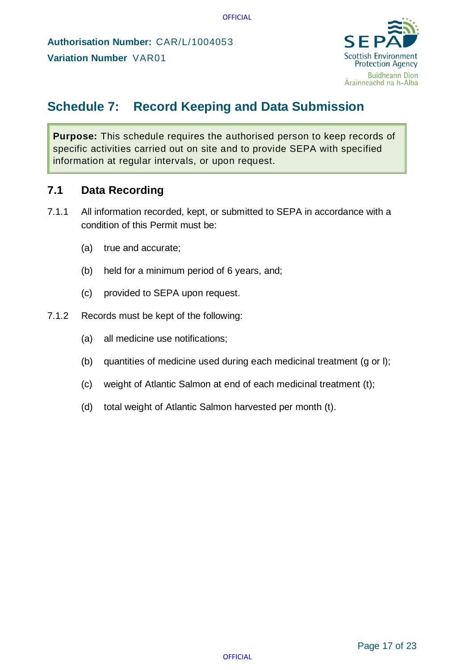

# <span id="page-16-0"></span>**Schedule 7: Record Keeping and Data Submission**

**Purpose:** This schedule requires the authorised person to keep records of specific activities carried out on site and to provide SEPA with specified information at regular intervals, or upon request.

## <span id="page-16-1"></span>**7.1 Data Recording**

- 7.1.1 All information recorded, kept, or submitted to SEPA in accordance with a condition of this Permit must be:
	- (a) true and accurate;
	- (b) held for a minimum period of 6 years, and;
	- (c) provided to SEPA upon request.
- 7.1.2 Records must be kept of the following:
	- (a) all medicine use notifications;
	- (b) quantities of medicine used during each medicinal treatment (g or l);
	- (c) weight of Atlantic Salmon at end of each medicinal treatment (t);
	- (d) total weight of Atlantic Salmon harvested per month (t).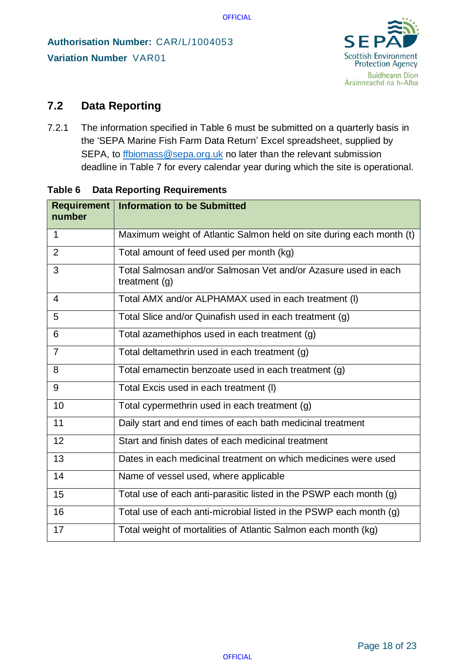

# <span id="page-17-0"></span>**7.2 Data Reporting**

7.2.1 The information specified in Table 6 must be submitted on a quarterly basis in the 'SEPA Marine Fish Farm Data Return' Excel spreadsheet, supplied by SEPA, to [ffbiomass@sepa.org.uk](mailto:ffbiomass@sepa.org.uk) no later than the relevant submission deadline in Table 7 for every calendar year during which the site is operational.

| number         | <b>Requirement   Information to be Submitted</b>                                  |
|----------------|-----------------------------------------------------------------------------------|
| 1              | Maximum weight of Atlantic Salmon held on site during each month (t)              |
| $\overline{2}$ | Total amount of feed used per month (kg)                                          |
| 3              | Total Salmosan and/or Salmosan Vet and/or Azasure used in each<br>treatment $(g)$ |
| 4              | Total AMX and/or ALPHAMAX used in each treatment (I)                              |
| 5              | Total Slice and/or Quinafish used in each treatment (g)                           |
| 6              | Total azamethiphos used in each treatment (g)                                     |
| 7              | Total deltamethrin used in each treatment (g)                                     |
| 8              | Total emamectin benzoate used in each treatment (g)                               |
| 9              | Total Excis used in each treatment (I)                                            |
| 10             | Total cypermethrin used in each treatment (g)                                     |
| 11             | Daily start and end times of each bath medicinal treatment                        |
| 12             | Start and finish dates of each medicinal treatment                                |
| 13             | Dates in each medicinal treatment on which medicines were used                    |
| 14             | Name of vessel used, where applicable                                             |
| 15             | Total use of each anti-parasitic listed in the PSWP each month (g)                |
| 16             | Total use of each anti-microbial listed in the PSWP each month (g)                |
| 17             | Total weight of mortalities of Atlantic Salmon each month (kg)                    |

#### **Table 6 Data Reporting Requirements**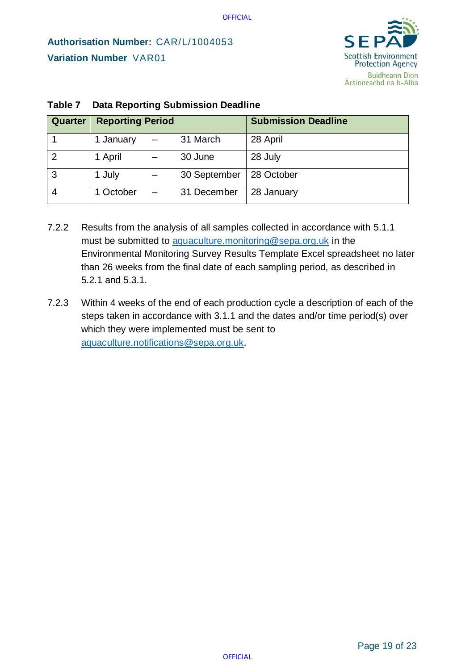

| <b>Quarter</b> | <b>Reporting Period</b> |  |              | <b>Submission Deadline</b> |
|----------------|-------------------------|--|--------------|----------------------------|
|                | 1 January               |  | 31 March     | 28 April                   |
| ာ              | 1 April                 |  | 30 June      | 28 July                    |
| 3              | 1 July                  |  | 30 September | 28 October                 |
|                | 1 October               |  | 31 December  | 28 January                 |

#### **Table 7 Data Reporting Submission Deadline**

- 7.2.2 Results from the analysis of all samples collected in accordance with 5.1.1 must be submitted to [aquaculture.monitoring@sepa.org.uk](mailto:aquaculture.monitoring@sepa.org.uk) in the Environmental Monitoring Survey Results Template Excel spreadsheet no later than 26 weeks from the final date of each sampling period, as described in 5.2.1 and 5.3.1.
- 7.2.3 Within 4 weeks of the end of each production cycle a description of each of the steps taken in accordance with 3.1.1 and the dates and/or time period(s) over which they were implemented must be sent to [aquaculture.notifications@sepa.org.uk.](mailto:aquaculture.notifications@sepa.org.uk)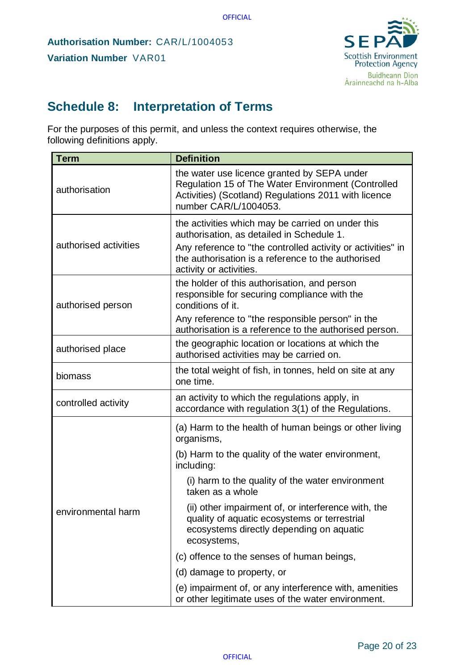

# <span id="page-19-0"></span>**Schedule 8: Interpretation of Terms**

For the purposes of this permit, and unless the context requires otherwise, the following definitions apply.

| <b>Term</b>           | <b>Definition</b>                                                                                                                                                                                                                              |  |
|-----------------------|------------------------------------------------------------------------------------------------------------------------------------------------------------------------------------------------------------------------------------------------|--|
| authorisation         | the water use licence granted by SEPA under<br>Regulation 15 of The Water Environment (Controlled<br>Activities) (Scotland) Regulations 2011 with licence<br>number CAR/L/1004053.                                                             |  |
| authorised activities | the activities which may be carried on under this<br>authorisation, as detailed in Schedule 1.<br>Any reference to "the controlled activity or activities" in<br>the authorisation is a reference to the authorised<br>activity or activities. |  |
| authorised person     | the holder of this authorisation, and person<br>responsible for securing compliance with the<br>conditions of it.<br>Any reference to "the responsible person" in the<br>authorisation is a reference to the authorised person.                |  |
| authorised place      | the geographic location or locations at which the<br>authorised activities may be carried on.                                                                                                                                                  |  |
| biomass               | the total weight of fish, in tonnes, held on site at any<br>one time.                                                                                                                                                                          |  |
| controlled activity   | an activity to which the regulations apply, in<br>accordance with regulation 3(1) of the Regulations.                                                                                                                                          |  |
|                       | (a) Harm to the health of human beings or other living<br>organisms,                                                                                                                                                                           |  |
|                       | (b) Harm to the quality of the water environment,<br>including:                                                                                                                                                                                |  |
| environmental harm    | (i) harm to the quality of the water environment<br>taken as a whole                                                                                                                                                                           |  |
|                       | (ii) other impairment of, or interference with, the<br>quality of aquatic ecosystems or terrestrial<br>ecosystems directly depending on aquatic<br>ecosystems,                                                                                 |  |
|                       | (c) offence to the senses of human beings,                                                                                                                                                                                                     |  |
|                       | (d) damage to property, or                                                                                                                                                                                                                     |  |
|                       | (e) impairment of, or any interference with, amenities<br>or other legitimate uses of the water environment.                                                                                                                                   |  |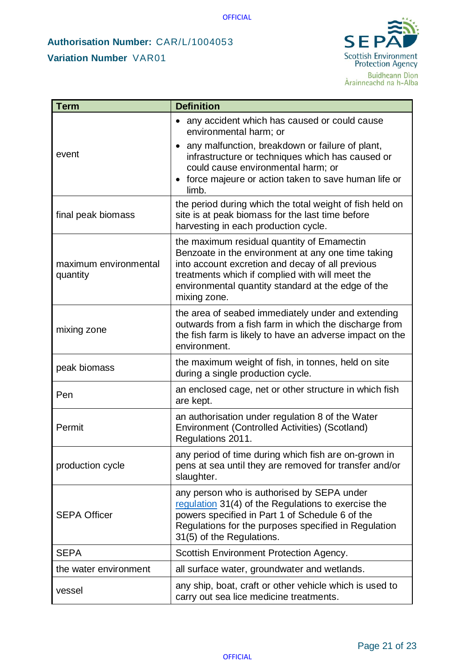# **Authorisation Number:** CAR/L/1004053 **Variation Number** VAR01



| <b>Term</b>                       | <b>Definition</b>                                                                                                                                                                                                                                                             |  |
|-----------------------------------|-------------------------------------------------------------------------------------------------------------------------------------------------------------------------------------------------------------------------------------------------------------------------------|--|
|                                   | any accident which has caused or could cause<br>environmental harm; or                                                                                                                                                                                                        |  |
| event                             | any malfunction, breakdown or failure of plant,<br>infrastructure or techniques which has caused or<br>could cause environmental harm; or<br>force majeure or action taken to save human life or<br>limb.                                                                     |  |
| final peak biomass                | the period during which the total weight of fish held on<br>site is at peak biomass for the last time before<br>harvesting in each production cycle.                                                                                                                          |  |
| maximum environmental<br>quantity | the maximum residual quantity of Emamectin<br>Benzoate in the environment at any one time taking<br>into account excretion and decay of all previous<br>treatments which if complied with will meet the<br>environmental quantity standard at the edge of the<br>mixing zone. |  |
| mixing zone                       | the area of seabed immediately under and extending<br>outwards from a fish farm in which the discharge from<br>the fish farm is likely to have an adverse impact on the<br>environment.                                                                                       |  |
| peak biomass                      | the maximum weight of fish, in tonnes, held on site<br>during a single production cycle.                                                                                                                                                                                      |  |
| Pen                               | an enclosed cage, net or other structure in which fish<br>are kept.                                                                                                                                                                                                           |  |
| Permit                            | an authorisation under regulation 8 of the Water<br>Environment (Controlled Activities) (Scotland)<br>Regulations 2011.                                                                                                                                                       |  |
| production cycle                  | any period of time during which fish are on-grown in<br>pens at sea until they are removed for transfer and/or<br>slaughter.                                                                                                                                                  |  |
| <b>SEPA Officer</b>               | any person who is authorised by SEPA under<br>regulation 31(4) of the Regulations to exercise the<br>powers specified in Part 1 of Schedule 6 of the<br>Regulations for the purposes specified in Regulation<br>31(5) of the Regulations.                                     |  |
| <b>SEPA</b>                       | Scottish Environment Protection Agency.                                                                                                                                                                                                                                       |  |
| the water environment             | all surface water, groundwater and wetlands.                                                                                                                                                                                                                                  |  |
| vessel                            | any ship, boat, craft or other vehicle which is used to<br>carry out sea lice medicine treatments.                                                                                                                                                                            |  |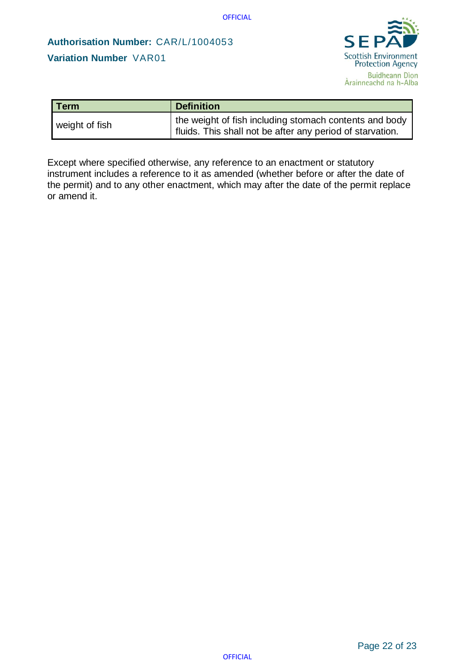# **Authorisation Number:** CAR/L/1004053 **Variation Number** VAR01



| <b>Term</b>    | <b>Definition</b>                                                                                                   |
|----------------|---------------------------------------------------------------------------------------------------------------------|
| weight of fish | the weight of fish including stomach contents and body<br>fluids. This shall not be after any period of starvation. |

Except where specified otherwise, any reference to an enactment or statutory instrument includes a reference to it as amended (whether before or after the date of the permit) and to any other enactment, which may after the date of the permit replace or amend it.